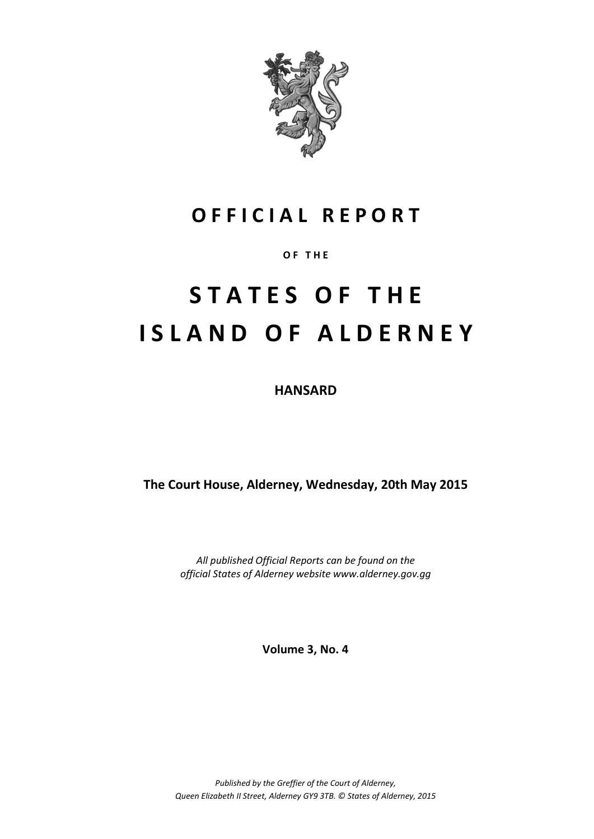

# **O F F I C I A L R E P O R T**

### **O F T H E**

# **S T A T E S O F T H E I S L A N D O F A L D E R N E Y**

**HANSARD**

**The Court House, Alderney, Wednesday, 20th May 2015**

*All published Official Reports can be found on the official States of Alderney website www.alderney.gov.gg*

**Volume 3, No. 4**

*Published by the Greffier of the Court of Alderney, Queen Elizabeth II Street, Alderney GY9 3TB. © States of Alderney, 2015*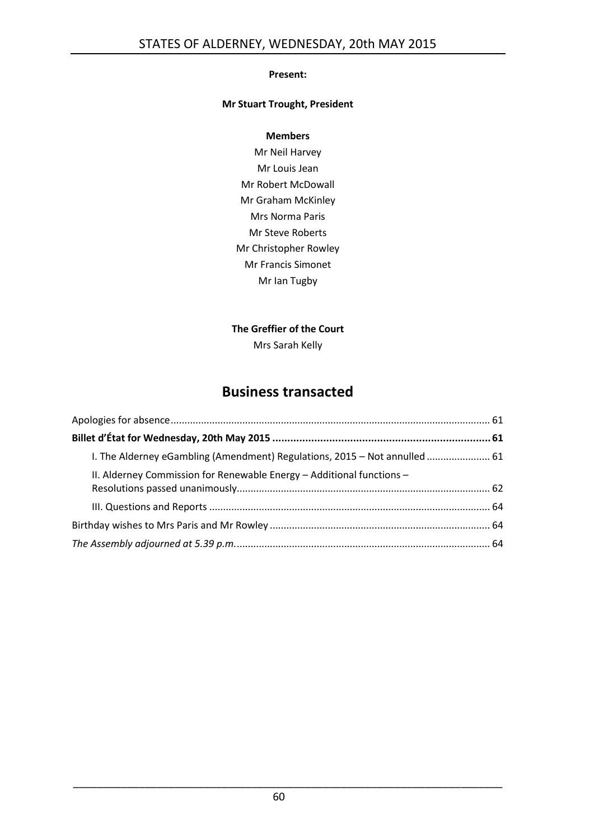### **Present:**

### **Mr Stuart Trought, President**

### **Members**

Mr Neil Harvey Mr Louis Jean Mr Robert McDowall Mr Graham McKinley Mrs Norma Paris Mr Steve Roberts Mr Christopher Rowley Mr Francis Simonet Mr Ian Tugby

### **The Greffier of the Court**

Mrs Sarah Kelly

## **Business transacted**

| I. The Alderney eGambling (Amendment) Regulations, 2015 - Not annulled  61 |  |
|----------------------------------------------------------------------------|--|
| II. Alderney Commission for Renewable Energy - Additional functions -      |  |
|                                                                            |  |
|                                                                            |  |
|                                                                            |  |

\_\_\_\_\_\_\_\_\_\_\_\_\_\_\_\_\_\_\_\_\_\_\_\_\_\_\_\_\_\_\_\_\_\_\_\_\_\_\_\_\_\_\_\_\_\_\_\_\_\_\_\_\_\_\_\_\_\_\_\_\_\_\_\_\_\_\_\_\_\_\_\_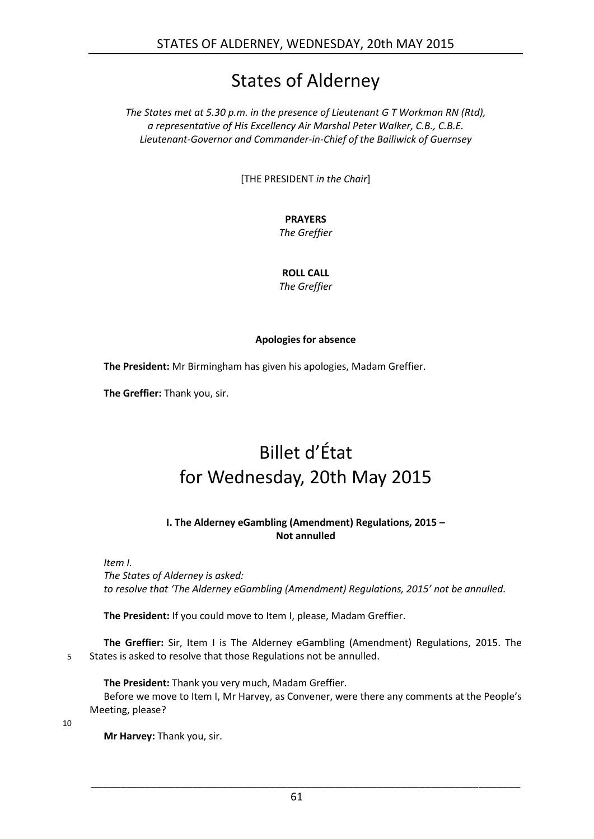# States of Alderney

*The States met at 5.30 p.m. in the presence of Lieutenant G T Workman RN (Rtd), a representative of His Excellency Air Marshal Peter Walker, C.B., C.B.E. Lieutenant-Governor and Commander-in-Chief of the Bailiwick of Guernsey*

[THE PRESIDENT *in the Chair*]

### **PRAYERS**

*The Greffier*

### **ROLL CALL**

*The Greffier*

### **Apologies for absence**

<span id="page-2-0"></span>**The President:** Mr Birmingham has given his apologies, Madam Greffier.

<span id="page-2-1"></span>**The Greffier:** Thank you, sir.

# Billet d'État for Wednesday, 20th May 2015

### **I. The Alderney eGambling (Amendment) Regulations, 2015 – Not annulled**

<span id="page-2-2"></span>*Item I.*

*The States of Alderney is asked: to resolve that 'The Alderney eGambling (Amendment) Regulations, 2015' not be annulled.*

**The President:** If you could move to Item I, please, Madam Greffier.

**The Greffier:** Sir, Item I is The Alderney eGambling (Amendment) Regulations, 2015. The 5 States is asked to resolve that those Regulations not be annulled.

**The President:** Thank you very much, Madam Greffier. Before we move to Item I, Mr Harvey, as Convener, were there any comments at the People's Meeting, please?

10

**Mr Harvey:** Thank you, sir.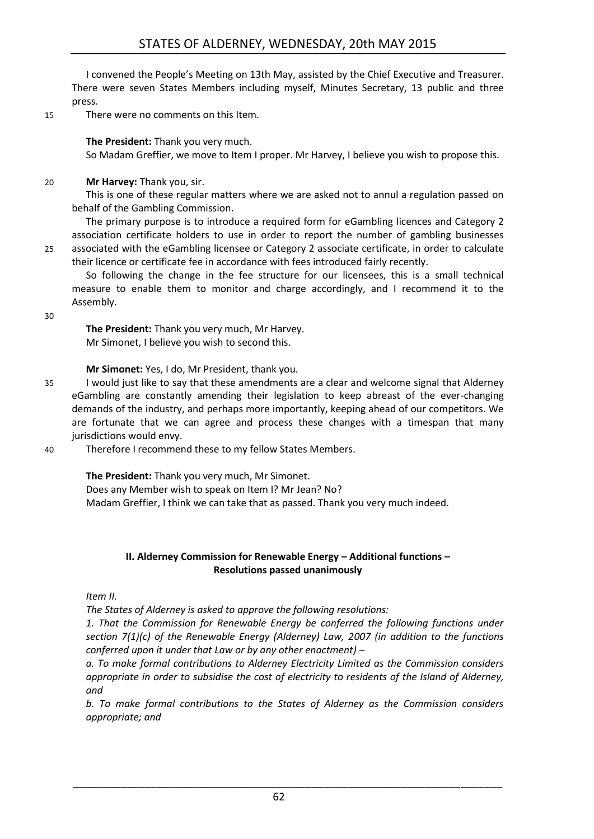I convened the People's Meeting on 13th May, assisted by the Chief Executive and Treasurer. There were seven States Members including myself, Minutes Secretary, 13 public and three press.

15 There were no comments on this Item.

### **The President:** Thank you very much.

So Madam Greffier, we move to Item I proper. Mr Harvey, I believe you wish to propose this.

20 **Mr Harvey:** Thank you, sir.

This is one of these regular matters where we are asked not to annul a regulation passed on behalf of the Gambling Commission.

The primary purpose is to introduce a required form for eGambling licences and Category 2 association certificate holders to use in order to report the number of gambling businesses 25 associated with the eGambling licensee or Category 2 associate certificate, in order to calculate their licence or certificate fee in accordance with fees introduced fairly recently.

So following the change in the fee structure for our licensees, this is a small technical measure to enable them to monitor and charge accordingly, and I recommend it to the Assembly.

30

**The President:** Thank you very much, Mr Harvey. Mr Simonet, I believe you wish to second this.

**Mr Simonet:** Yes, I do, Mr President, thank you.

- 35 I would just like to say that these amendments are a clear and welcome signal that Alderney eGambling are constantly amending their legislation to keep abreast of the ever-changing demands of the industry, and perhaps more importantly, keeping ahead of our competitors. We are fortunate that we can agree and process these changes with a timespan that many jurisdictions would envy.
- 40 Therefore I recommend these to my fellow States Members.

**The President:** Thank you very much, Mr Simonet.

Does any Member wish to speak on Item I? Mr Jean? No?

Madam Greffier, I think we can take that as passed. Thank you very much indeed.

### **II. Alderney Commission for Renewable Energy – Additional functions – Resolutions passed unanimously**

<span id="page-3-0"></span>*Item II.*

*The States of Alderney is asked to approve the following resolutions:* 

*1. That the Commission for Renewable Energy be conferred the following functions under section 7(1)(c) of the Renewable Energy (Alderney) Law, 2007 (in addition to the functions conferred upon it under that Law or by any other enactment) –*

*a. To make formal contributions to Alderney Electricity Limited as the Commission considers appropriate in order to subsidise the cost of electricity to residents of the Island of Alderney, and* 

*b. To make formal contributions to the States of Alderney as the Commission considers appropriate; and* 

\_\_\_\_\_\_\_\_\_\_\_\_\_\_\_\_\_\_\_\_\_\_\_\_\_\_\_\_\_\_\_\_\_\_\_\_\_\_\_\_\_\_\_\_\_\_\_\_\_\_\_\_\_\_\_\_\_\_\_\_\_\_\_\_\_\_\_\_\_\_\_\_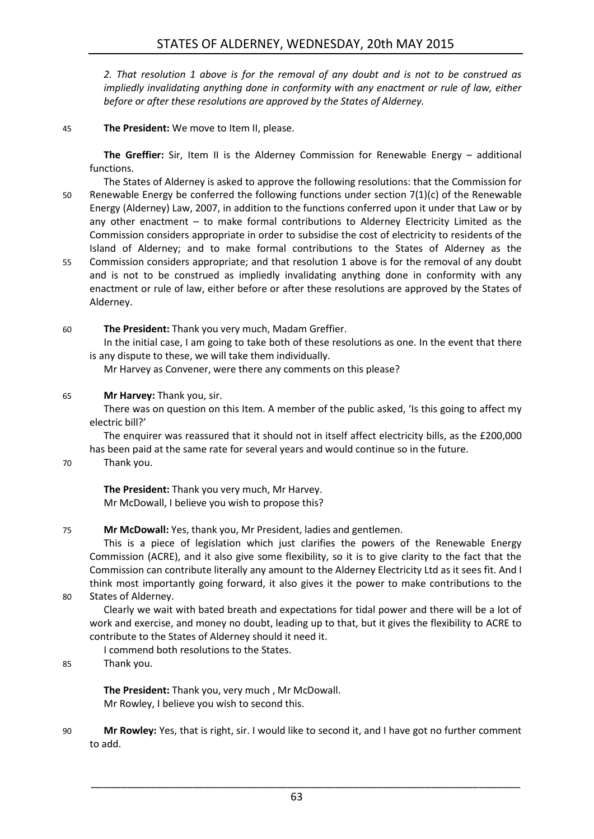*2. That resolution 1 above is for the removal of any doubt and is not to be construed as impliedly invalidating anything done in conformity with any enactment or rule of law, either before or after these resolutions are approved by the States of Alderney.* 

45 **The President:** We move to Item II, please.

**The Greffier:** Sir, Item II is the Alderney Commission for Renewable Energy – additional functions.

The States of Alderney is asked to approve the following resolutions: that the Commission for 50 Renewable Energy be conferred the following functions under section 7(1)(c) of the Renewable Energy (Alderney) Law, 2007, in addition to the functions conferred upon it under that Law or by any other enactment – to make formal contributions to Alderney Electricity Limited as the Commission considers appropriate in order to subsidise the cost of electricity to residents of the Island of Alderney; and to make formal contributions to the States of Alderney as the 55 Commission considers appropriate; and that resolution 1 above is for the removal of any doubt

- and is not to be construed as impliedly invalidating anything done in conformity with any enactment or rule of law, either before or after these resolutions are approved by the States of Alderney.
- 60 **The President:** Thank you very much, Madam Greffier.

In the initial case, I am going to take both of these resolutions as one. In the event that there is any dispute to these, we will take them individually.

Mr Harvey as Convener, were there any comments on this please?

#### 65 **Mr Harvey:** Thank you, sir.

There was on question on this Item. A member of the public asked, 'Is this going to affect my electric bill?'

The enquirer was reassured that it should not in itself affect electricity bills, as the £200,000 has been paid at the same rate for several years and would continue so in the future.

70 Thank you.

**The President:** Thank you very much, Mr Harvey. Mr McDowall, I believe you wish to propose this?

### 75 **Mr McDowall:** Yes, thank you, Mr President, ladies and gentlemen.

This is a piece of legislation which just clarifies the powers of the Renewable Energy Commission (ACRE), and it also give some flexibility, so it is to give clarity to the fact that the Commission can contribute literally any amount to the Alderney Electricity Ltd as it sees fit. And I think most importantly going forward, it also gives it the power to make contributions to the

80 States of Alderney.

Clearly we wait with bated breath and expectations for tidal power and there will be a lot of work and exercise, and money no doubt, leading up to that, but it gives the flexibility to ACRE to contribute to the States of Alderney should it need it.

I commend both resolutions to the States.

85 Thank you.

**The President:** Thank you, very much , Mr McDowall. Mr Rowley, I believe you wish to second this.

90 **Mr Rowley:** Yes, that is right, sir. I would like to second it, and I have got no further comment to add.